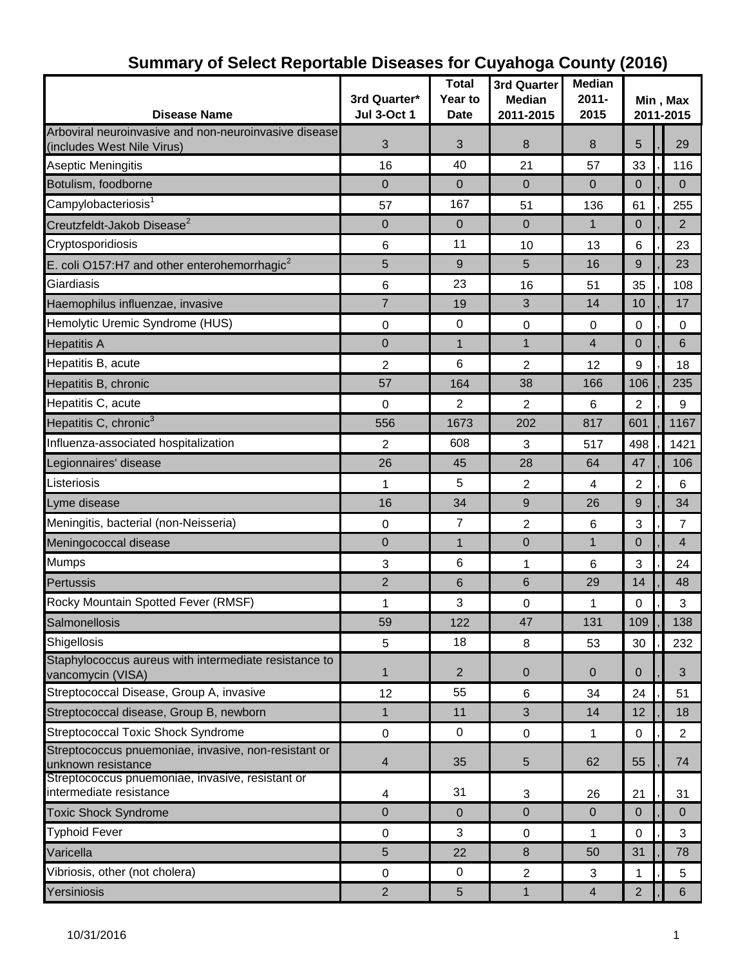| <b>Disease Name</b>                                                         | 3rd Quarter*<br><b>Jul 3-Oct 1</b> | <b>Total</b><br>Year to<br><b>Date</b> | 3rd Quarter<br><b>Median</b><br>2011-2015 | <b>Median</b><br>$2011 -$<br>2015 | Min, Max<br>2011-2015         |  |                       |  |
|-----------------------------------------------------------------------------|------------------------------------|----------------------------------------|-------------------------------------------|-----------------------------------|-------------------------------|--|-----------------------|--|
| Arboviral neuroinvasive and non-neuroinvasive disease                       | 3                                  | 3                                      | 8                                         | 8                                 | 5                             |  | 29                    |  |
| (includes West Nile Virus)                                                  | 16                                 | 40                                     | 21                                        |                                   | 33                            |  |                       |  |
| Aseptic Meningitis<br>Botulism, foodborne                                   | $\mathbf{0}$                       | $\mathbf 0$                            | $\mathbf 0$                               | 57<br>$\overline{0}$              | $\overline{0}$                |  | 116<br>$\mathbf 0$    |  |
| Campylobacteriosis <sup>1</sup>                                             |                                    | 167                                    |                                           |                                   |                               |  |                       |  |
|                                                                             | 57<br>$\mathbf{0}$                 | $\mathbf 0$                            | 51<br>$\mathbf 0$                         | 136<br>1                          | 61<br>$\mathbf 0$             |  | 255<br>$\overline{2}$ |  |
| Creutzfeldt-Jakob Disease <sup>2</sup><br>Cryptosporidiosis                 |                                    | 11                                     | 10                                        |                                   |                               |  |                       |  |
|                                                                             | 6<br>5                             | $9\,$                                  | 5                                         | 13<br>16                          | 6<br>9                        |  | 23<br>23              |  |
| E. coli O157:H7 and other enterohemorrhagic <sup>2</sup><br>Giardiasis      |                                    | 23                                     |                                           |                                   |                               |  |                       |  |
|                                                                             | 6<br>$\overline{7}$                | 19                                     | 16<br>3                                   | 51<br>14                          | 35<br>10                      |  | 108<br>17             |  |
| Haemophilus influenzae, invasive<br>Hemolytic Uremic Syndrome (HUS)         |                                    | $\boldsymbol{0}$                       |                                           |                                   |                               |  |                       |  |
| <b>Hepatitis A</b>                                                          | 0<br>$\mathbf{0}$                  | $\mathbf{1}$                           | $\mathbf 0$<br>$\mathbf{1}$               | $\mathbf 0$<br>4                  | $\mathbf 0$<br>$\overline{0}$ |  | $\mathbf 0$<br>6      |  |
|                                                                             |                                    | 6                                      |                                           |                                   |                               |  |                       |  |
| Hepatitis B, acute                                                          | $\overline{2}$<br>57               |                                        | $\overline{2}$<br>38                      | 12<br>166                         | 9<br>106                      |  | 18<br>235             |  |
| Hepatitis B, chronic                                                        |                                    | 164                                    |                                           |                                   |                               |  |                       |  |
| Hepatitis C, acute<br>Hepatitis C, chronic <sup>3</sup>                     | 0                                  | 2                                      | $\overline{2}$                            | 6                                 | $\overline{2}$                |  | $9\,$                 |  |
|                                                                             | 556                                | 1673                                   | 202                                       | 817                               | 601                           |  | 1167                  |  |
| Influenza-associated hospitalization                                        | $\overline{2}$                     | 608                                    | 3                                         | 517                               | 498                           |  | 1421                  |  |
| Legionnaires' disease                                                       | 26                                 | 45                                     | 28                                        | 64                                | 47                            |  | 106                   |  |
| Listeriosis                                                                 | 1                                  | 5                                      | 2                                         | 4                                 | $\overline{2}$                |  | 6                     |  |
| Lyme disease                                                                | 16                                 | 34                                     | $\boldsymbol{9}$                          | 26                                | $\overline{9}$                |  | 34                    |  |
| Meningitis, bacterial (non-Neisseria)                                       | 0                                  | $\overline{7}$                         | $\overline{2}$                            | 6                                 | 3                             |  | $\overline{7}$        |  |
| Meningococcal disease                                                       | 0                                  | $\mathbf{1}$                           | 0                                         | $\mathbf{1}$                      | $\mathbf 0$                   |  | $\overline{4}$        |  |
| <b>Mumps</b>                                                                | 3                                  | 6                                      | 1                                         | 6                                 | 3                             |  | 24                    |  |
| Pertussis                                                                   | $\overline{2}$                     | 6                                      | 6                                         | 29                                | 14                            |  | 48                    |  |
| Rocky Mountain Spotted Fever (RMSF)                                         | 1                                  | 3                                      | 0                                         | 1                                 | 0                             |  | 3                     |  |
| Salmonellosis                                                               | 59                                 | 122                                    | 47                                        | 131                               | 109                           |  | 138                   |  |
| Shigellosis                                                                 | 5                                  | 18                                     | 8                                         | 53                                | 30                            |  | 232                   |  |
| Staphylococcus aureus with intermediate resistance to<br>vancomycin (VISA)  | 1                                  | $\overline{2}$                         | $\mathbf 0$                               | $\mathbf 0$                       | $\mathbf 0$                   |  | $\overline{3}$        |  |
| Streptococcal Disease, Group A, invasive                                    | 12                                 | 55                                     | 6                                         | 34                                | 24                            |  | 51                    |  |
| Streptococcal disease, Group B, newborn                                     | 1                                  | 11                                     | 3                                         | 14                                | 12                            |  | 18                    |  |
| <b>Streptococcal Toxic Shock Syndrome</b>                                   | 0                                  | 0                                      | $\mathsf 0$                               | 1                                 | $\pmb{0}$                     |  | $\overline{2}$        |  |
| Streptococcus pnuemoniae, invasive, non-resistant or<br>unknown resistance  | 4                                  | 35                                     | 5                                         | 62                                | 55                            |  | 74                    |  |
| Streptococcus pnuemoniae, invasive, resistant or<br>intermediate resistance | 4                                  | 31                                     | 3                                         | 26                                | 21                            |  | 31                    |  |
| <b>Toxic Shock Syndrome</b>                                                 | 0                                  | $\mathbf 0$                            | $\mathbf 0$                               | $\mathbf 0$                       | $\overline{0}$                |  | $\mathbf{0}$          |  |
| <b>Typhoid Fever</b>                                                        | $\mathbf 0$                        | 3                                      | $\mathbf 0$                               | 1                                 | $\mathbf 0$                   |  | 3                     |  |
| Varicella                                                                   | 5                                  | 22                                     | $\,8\,$                                   | 50                                | 31                            |  | 78                    |  |
| Vibriosis, other (not cholera)                                              | 0                                  | 0                                      | $\overline{2}$                            | 3                                 | 1                             |  | 5                     |  |
| Yersiniosis                                                                 | $\overline{2}$                     | 5                                      | $\mathbf{1}$                              | 4                                 | $\overline{2}$                |  | 6                     |  |

## **Summary of Select Reportable Diseases for Cuyahoga County (2016)**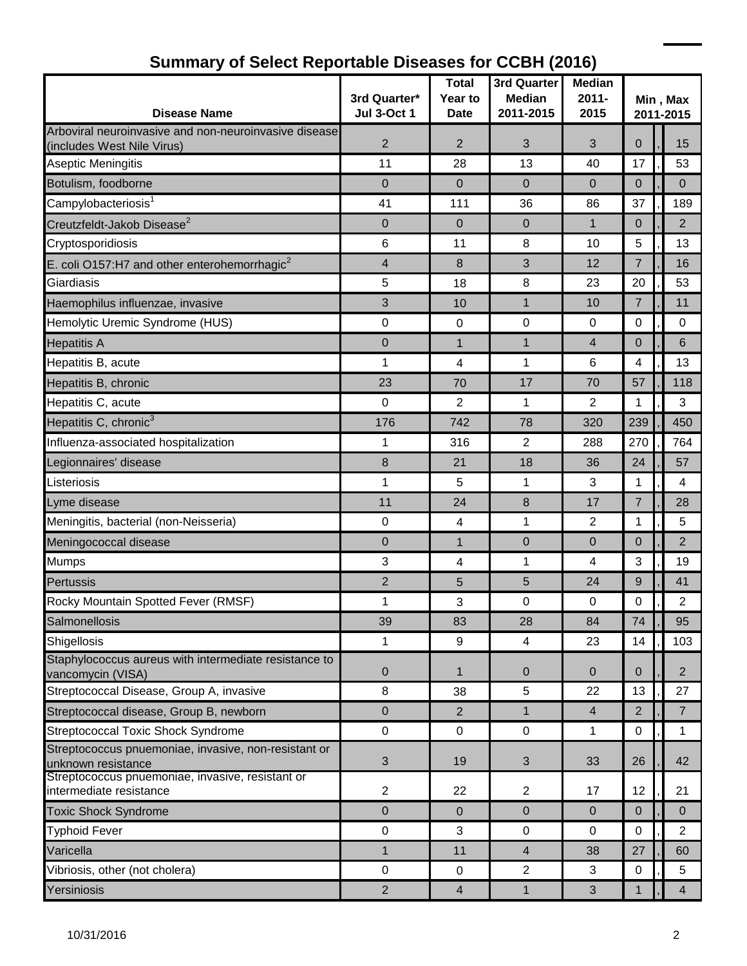|                                                                              | 3rd Quarter*<br><b>Jul 3-Oct 1</b> | <b>Total</b><br>Year to | 3rd Quarter<br><b>Median</b> | <b>Median</b><br>$2011 -$ | Min, Max<br>2011-2015 |  |                  |  |
|------------------------------------------------------------------------------|------------------------------------|-------------------------|------------------------------|---------------------------|-----------------------|--|------------------|--|
| <b>Disease Name</b><br>Arboviral neuroinvasive and non-neuroinvasive disease |                                    | <b>Date</b>             | 2011-2015                    | 2015                      |                       |  |                  |  |
| (includes West Nile Virus)                                                   | $\overline{2}$                     | $\overline{2}$          | 3                            | 3                         | $\mathbf 0$           |  | 15               |  |
| Aseptic Meningitis                                                           | 11                                 | 28                      | 13                           | 40                        | 17                    |  | 53               |  |
| Botulism, foodborne                                                          | $\mathbf{0}$                       | $\mathbf 0$             | $\mathbf{0}$                 | $\mathbf 0$               | $\overline{0}$        |  | $\mathbf 0$      |  |
| Campylobacteriosis <sup>1</sup>                                              | 41                                 | 111                     | 36                           | 86                        | 37                    |  | 189              |  |
| Creutzfeldt-Jakob Disease <sup>2</sup>                                       | 0                                  | $\mathbf 0$             | $\mathbf{0}$                 | $\mathbf{1}$              | $\overline{0}$        |  | $\overline{2}$   |  |
| Cryptosporidiosis                                                            | 6                                  | 11                      | 8                            | 10                        | 5                     |  | 13               |  |
| E. coli O157:H7 and other enterohemorrhagic <sup>2</sup>                     | 4                                  | 8                       | 3                            | 12                        | $\overline{7}$        |  | 16               |  |
| Giardiasis                                                                   | 5                                  | 18                      | 8                            | 23                        | 20                    |  | 53               |  |
| Haemophilus influenzae, invasive                                             | 3                                  | 10                      | 1                            | 10                        | $\overline{7}$        |  | 11               |  |
| Hemolytic Uremic Syndrome (HUS)                                              | $\mathbf 0$                        | $\mathbf 0$             | $\mathbf 0$                  | $\mathbf 0$               | $\mathbf 0$           |  | 0                |  |
| <b>Hepatitis A</b>                                                           | 0                                  | $\mathbf{1}$            | $\mathbf{1}$                 | 4                         | $\mathbf 0$           |  | 6                |  |
| Hepatitis B, acute                                                           | 1                                  | 4                       | $\mathbf{1}$                 | 6                         | $\overline{4}$        |  | 13               |  |
| Hepatitis B, chronic                                                         | 23                                 | 70                      | 17                           | 70                        | 57                    |  | 118              |  |
| Hepatitis C, acute                                                           | 0                                  | $\overline{2}$          | 1                            | 2                         | 1                     |  | 3                |  |
| Hepatitis C, chronic <sup>3</sup>                                            | 176                                | 742                     | 78                           | 320                       | 239                   |  | 450              |  |
| Influenza-associated hospitalization                                         | 1                                  | 316                     | $\overline{2}$               | 288                       | 270                   |  | 764              |  |
| Legionnaires' disease                                                        | 8                                  | 21                      | 18                           | 36                        | 24                    |  | 57               |  |
| Listeriosis                                                                  | 1                                  | 5                       | 1                            | 3                         | 1                     |  | 4                |  |
| Lyme disease                                                                 | 11                                 | 24                      | 8                            | 17                        | $\overline{7}$        |  | 28               |  |
| Meningitis, bacterial (non-Neisseria)                                        | $\pmb{0}$                          | 4                       | 1                            | $\overline{c}$            | 1                     |  | 5                |  |
| Meningococcal disease                                                        | $\mathbf{0}$                       | $\mathbf{1}$            | $\mathbf 0$                  | $\mathbf 0$               | $\overline{0}$        |  | $\overline{2}$   |  |
| Mumps                                                                        | 3                                  | 4                       | 1                            | 4                         | 3                     |  | 19               |  |
| Pertussis                                                                    | $\overline{2}$                     | 5                       | 5                            | 24                        | 9                     |  | 41               |  |
| Rocky Mountain Spotted Fever (RMSF)                                          | 1                                  | 3                       | 0                            | $\mathbf 0$               | 0                     |  | $\boldsymbol{2}$ |  |
| Salmonellosis                                                                | 39                                 | 83                      | 28                           | 84                        | 74                    |  | 95               |  |
| Shigellosis                                                                  | 1                                  | 9                       | $\overline{4}$               | 23                        | 14                    |  | 103              |  |
| Staphylococcus aureus with intermediate resistance to<br>vancomycin (VISA)   | $\mathbf 0$                        | $\mathbf{1}$            | $\mathbf{0}$                 | $\mathbf 0$               | $\mathbf 0$           |  | $\overline{2}$   |  |
| Streptococcal Disease, Group A, invasive                                     | 8                                  | 38                      | 5                            | 22                        | 13                    |  | 27               |  |
| Streptococcal disease, Group B, newborn                                      | $\mathbf{0}$                       | $\overline{2}$          | $\mathbf{1}$                 | 4                         | $\overline{2}$        |  | $\overline{7}$   |  |
| <b>Streptococcal Toxic Shock Syndrome</b>                                    | $\mathsf 0$                        | $\mathsf 0$             | $\mathbf 0$                  | 1                         | $\mathbf 0$           |  | 1                |  |
| Streptococcus pnuemoniae, invasive, non-resistant or<br>unknown resistance   | 3                                  | 19                      | 3                            | 33                        | 26                    |  | 42               |  |
| Streptococcus pnuemoniae, invasive, resistant or<br>intermediate resistance  | $\overline{2}$                     | 22                      | $\overline{2}$               | 17                        | 12                    |  | 21               |  |
| <b>Toxic Shock Syndrome</b>                                                  | 0                                  | $\mathbf 0$             | $\mathbf 0$                  | $\mathbf 0$               | $\overline{0}$        |  | $\mathbf 0$      |  |
| <b>Typhoid Fever</b>                                                         | $\mathsf 0$                        | 3                       | $\mathbf 0$                  | $\mathbf 0$               | 0                     |  | $\overline{2}$   |  |
| Varicella                                                                    | 1                                  | 11                      | $\overline{4}$               | 38                        | 27                    |  | 60               |  |
| Vibriosis, other (not cholera)                                               | $\mathbf 0$                        | $\mathsf 0$             | 2                            | 3                         | $\mathbf 0$           |  | 5                |  |
| Yersiniosis                                                                  | $\overline{2}$                     | 4                       | 1                            | 3                         | $\mathbf{1}$          |  | 4                |  |

#### **Summary of Select Reportable Diseases for CCBH (2016)**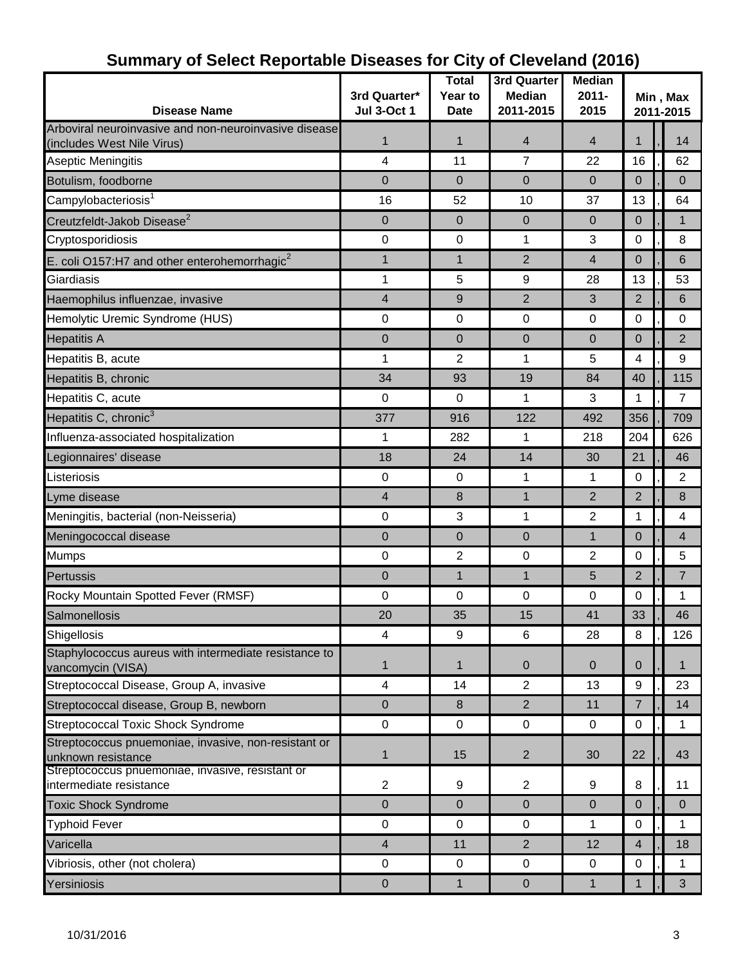| <b>Disease Name</b>                                                         | 3rd Quarter*<br><b>Jul 3-Oct 1</b> | <b>Total</b><br>Year to<br><b>Date</b> | 3rd Quarter<br><b>Median</b><br>2011-2015 | <b>Median</b><br>$2011 -$<br>2015 | Min, Max<br>2011-2015 |  |                |
|-----------------------------------------------------------------------------|------------------------------------|----------------------------------------|-------------------------------------------|-----------------------------------|-----------------------|--|----------------|
| Arboviral neuroinvasive and non-neuroinvasive disease                       |                                    |                                        |                                           |                                   |                       |  |                |
| (includes West Nile Virus)<br><b>Aseptic Meningitis</b>                     | 1<br>4                             | 1<br>11                                | $\overline{4}$<br>$\overline{7}$          | 4<br>22                           | $\mathbf{1}$<br>16    |  | 14<br>62       |
| Botulism, foodborne                                                         | $\mathbf 0$                        | $\pmb{0}$                              | $\mathbf 0$                               | $\overline{0}$                    | $\mathbf 0$           |  | $\mathbf 0$    |
| Campylobacteriosis <sup>1</sup>                                             | 16                                 | 52                                     | 10                                        | 37                                | 13                    |  | 64             |
|                                                                             | $\mathbf 0$                        | $\mathbf 0$                            | $\mathbf 0$                               | $\mathbf 0$                       | $\mathbf 0$           |  | $\mathbf 1$    |
| Creutzfeldt-Jakob Disease <sup>2</sup><br>Cryptosporidiosis                 | $\pmb{0}$                          | $\pmb{0}$                              | 1                                         | 3                                 | $\mathbf 0$           |  | 8              |
|                                                                             | 1                                  | 1                                      | $\overline{2}$                            | 4                                 | $\overline{0}$        |  | 6              |
| E. coli O157:H7 and other enterohemorrhagic <sup>2</sup><br>Giardiasis      | 1                                  | 5                                      | 9                                         | 28                                | 13                    |  | 53             |
| Haemophilus influenzae, invasive                                            | 4                                  | $9\,$                                  | $\overline{2}$                            | 3                                 | $\overline{2}$        |  | 6              |
| Hemolytic Uremic Syndrome (HUS)                                             | 0                                  | $\pmb{0}$                              | $\boldsymbol{0}$                          | 0                                 | 0                     |  | 0              |
| <b>Hepatitis A</b>                                                          | $\boldsymbol{0}$                   | $\mathbf 0$                            | $\mathbf 0$                               | $\overline{0}$                    | $\overline{0}$        |  | $\overline{2}$ |
| Hepatitis B, acute                                                          | 1                                  | $\overline{2}$                         | 1                                         | 5                                 | 4                     |  | 9              |
| Hepatitis B, chronic                                                        | 34                                 | 93                                     | 19                                        | 84                                | 40                    |  | 115            |
| Hepatitis C, acute                                                          | 0                                  | $\mathbf 0$                            | 1                                         | 3                                 | 1                     |  | $\overline{7}$ |
| Hepatitis C, chronic <sup>3</sup>                                           | 377                                | 916                                    | 122                                       | 492                               | 356                   |  | 709            |
| Influenza-associated hospitalization                                        | $\mathbf{1}$                       | 282                                    | $\mathbf{1}$                              | 218                               | 204                   |  | 626            |
| Legionnaires' disease                                                       | 18                                 | 24                                     | 14                                        | 30                                | 21                    |  | 46             |
| Listeriosis                                                                 | $\mathbf 0$                        | $\pmb{0}$                              | 1                                         | 1                                 | $\boldsymbol{0}$      |  | $\overline{2}$ |
| Lyme disease                                                                | 4                                  | 8                                      | $\mathbf{1}$                              | $\overline{2}$                    | $\overline{2}$        |  | 8              |
| Meningitis, bacterial (non-Neisseria)                                       | 0                                  | $\sqrt{3}$                             | 1                                         | 2                                 | 1                     |  | 4              |
| Meningococcal disease                                                       | $\pmb{0}$                          | $\pmb{0}$                              | $\mathbf 0$                               | $\mathbf{1}$                      | $\mathbf 0$           |  | $\overline{4}$ |
| <b>Mumps</b>                                                                | 0                                  | $\overline{c}$                         | $\mathbf 0$                               | $\overline{2}$                    | $\mathbf 0$           |  | 5              |
| Pertussis                                                                   | $\boldsymbol{0}$                   | $\mathbf{1}$                           | $\mathbf{1}$                              | 5                                 | $\overline{2}$        |  | $\overline{7}$ |
| Rocky Mountain Spotted Fever (RMSF)                                         | $\pmb{0}$                          | $\pmb{0}$                              | $\boldsymbol{0}$                          | 0                                 | $\mathbf 0$           |  | 1              |
| Salmonellosis                                                               | 20                                 | 35                                     | 15                                        | 41                                | 33                    |  | 46             |
| Shigellosis                                                                 | 4                                  | 9                                      | 6                                         | 28                                | 8                     |  | 126            |
| Staphylococcus aureus with intermediate resistance to<br>vancomycin (VISA)  | 1                                  | $\mathbf{1}$                           | $\mathbf 0$                               | $\overline{0}$                    | $\overline{0}$        |  | $\mathbf{1}$   |
| Streptococcal Disease, Group A, invasive                                    | $\overline{\mathbf{4}}$            | 14                                     | $\overline{2}$                            | 13                                | 9                     |  | 23             |
| Streptococcal disease, Group B, newborn                                     | $\pmb{0}$                          | $\,8\,$                                | $\overline{2}$                            | 11                                | $\overline{7}$        |  | 14             |
| Streptococcal Toxic Shock Syndrome                                          | $\mathbf 0$                        | $\mathbf 0$                            | $\mathbf 0$                               | 0                                 | $\boldsymbol{0}$      |  | 1              |
| Streptococcus pnuemoniae, invasive, non-resistant or<br>unknown resistance  | 1                                  | 15                                     | $\overline{2}$                            | 30                                | 22                    |  | 43             |
| Streptococcus pnuemoniae, invasive, resistant or<br>intermediate resistance | $\overline{2}$                     | 9                                      | $\overline{2}$                            | 9                                 | 8                     |  | 11             |
| <b>Toxic Shock Syndrome</b>                                                 | $\mathbf 0$                        | $\mathbf 0$                            | $\mathbf 0$                               | $\overline{0}$                    | $\overline{0}$        |  | $\mathbf{0}$   |
| <b>Typhoid Fever</b>                                                        | $\mathbf 0$                        | $\pmb{0}$                              | $\mathsf 0$                               | 1                                 | $\boldsymbol{0}$      |  | 1              |
| Varicella                                                                   | $\overline{4}$                     | 11                                     | $\overline{2}$                            | 12                                | $\overline{4}$        |  | 18             |
| Vibriosis, other (not cholera)                                              | $\mathbf 0$                        | $\pmb{0}$                              | $\mathsf 0$                               | $\mathbf 0$                       | 0                     |  | 1              |
| Yersiniosis                                                                 | $\boldsymbol{0}$                   | $\mathbf{1}$                           | $\pmb{0}$                                 | $\mathbf{1}$                      | 1                     |  | $\mathbf{3}$   |

## **Summary of Select Reportable Diseases for City of Cleveland (2016)**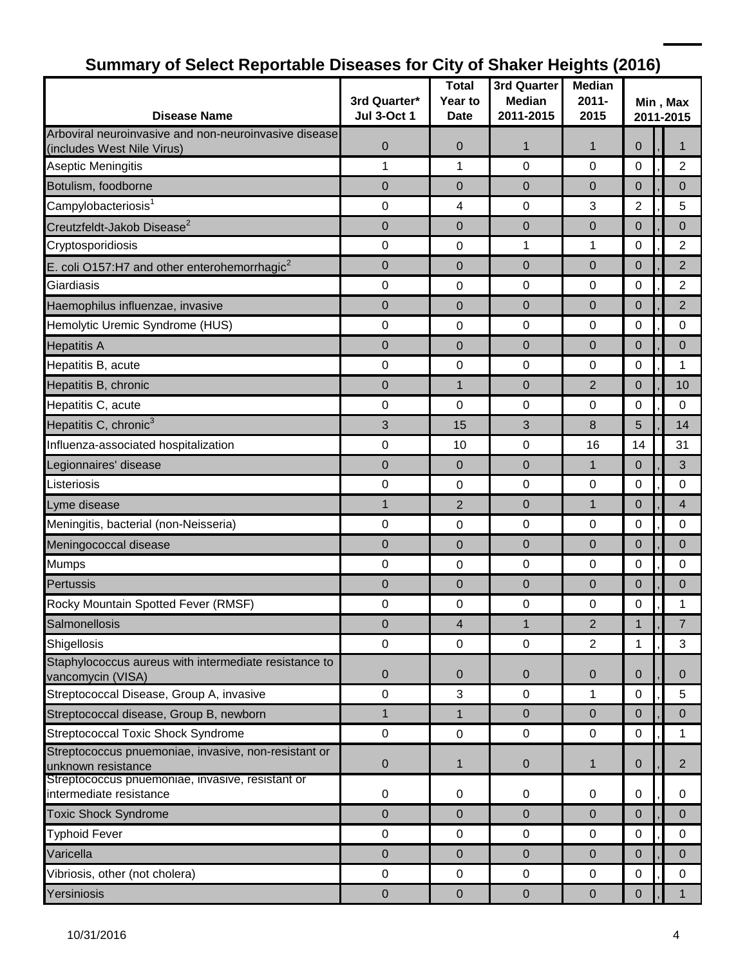|                                                                                     | 3rd Quarter*       | Total<br>Year to | 3rd Quarter<br><b>Median</b> | <b>Median</b><br>$2011 -$ | Min, Max       |  |                |
|-------------------------------------------------------------------------------------|--------------------|------------------|------------------------------|---------------------------|----------------|--|----------------|
| <b>Disease Name</b>                                                                 | <b>Jul 3-Oct 1</b> | <b>Date</b>      | 2011-2015                    | 2015                      |                |  | 2011-2015      |
| Arboviral neuroinvasive and non-neuroinvasive disease<br>(includes West Nile Virus) | $\mathbf 0$        | 0                | $\mathbf{1}$                 | 1                         | 0              |  |                |
| Aseptic Meningitis                                                                  | 1                  | 1                | $\mathbf 0$                  | 0                         | 0              |  | $\overline{2}$ |
| Botulism, foodborne                                                                 | 0                  | 0                | 0                            | $\mathbf 0$               | $\overline{0}$ |  | 0              |
| Campylobacteriosis <sup>1</sup>                                                     | 0                  | 4                | 0                            | 3                         | $\overline{2}$ |  | 5              |
| Creutzfeldt-Jakob Disease <sup>2</sup>                                              | $\boldsymbol{0}$   | $\mathbf 0$      | $\mathbf 0$                  | $\overline{0}$            | $\overline{0}$ |  | 0              |
| Cryptosporidiosis                                                                   | 0                  | 0                | 1                            | 1                         | 0              |  | $\overline{2}$ |
| E. coli O157:H7 and other enterohemorrhagic $2$                                     | 0                  | 0                | $\mathbf 0$                  | $\mathbf 0$               | $\overline{0}$ |  | $\overline{2}$ |
| Giardiasis                                                                          | 0                  | $\mathbf 0$      | 0                            | 0                         | 0              |  | 2              |
| Haemophilus influenzae, invasive                                                    | $\mathbf 0$        | $\mathbf 0$      | $\mathbf 0$                  | $\overline{0}$            | $\overline{0}$ |  | $\overline{2}$ |
| Hemolytic Uremic Syndrome (HUS)                                                     | $\pmb{0}$          | $\mathbf 0$      | 0                            | $\mathbf 0$               | 0              |  | 0              |
| <b>Hepatitis A</b>                                                                  | 0                  | $\mathbf 0$      | $\mathbf 0$                  | 0                         | $\overline{0}$ |  | $\Omega$       |
| Hepatitis B, acute                                                                  | 0                  | 0                | 0                            | 0                         | 0              |  | 1              |
| Hepatitis B, chronic                                                                | $\mathbf 0$        | $\mathbf{1}$     | $\mathbf 0$                  | $\overline{2}$            | $\overline{0}$ |  | 10             |
| Hepatitis C, acute                                                                  | 0                  | 0                | 0                            | 0                         | 0              |  | 0              |
| Hepatitis C, chronic <sup>3</sup>                                                   | 3                  | 15               | 3                            | 8                         | 5              |  | 14             |
| Influenza-associated hospitalization                                                | 0                  | 10               | $\mathbf 0$                  | 16                        | 14             |  | 31             |
| Legionnaires' disease                                                               | $\boldsymbol{0}$   | $\mathbf 0$      | $\boldsymbol{0}$             | $\mathbf 1$               | 0              |  | 3              |
| Listeriosis                                                                         | $\pmb{0}$          | $\boldsymbol{0}$ | $\mathbf 0$                  | 0                         | 0              |  | 0              |
| Lyme disease                                                                        | $\mathbf{1}$       | $\overline{2}$   | $\mathbf{0}$                 | $\mathbf{1}$              | $\overline{0}$ |  | $\overline{4}$ |
| Meningitis, bacterial (non-Neisseria)                                               | 0                  | 0                | $\pmb{0}$                    | 0                         | 0              |  | 0              |
| Meningococcal disease                                                               | 0                  | 0                | 0                            | $\mathbf 0$               | 0              |  | $\mathbf 0$    |
| Mumps                                                                               | 0                  | 0                | $\mathbf 0$                  | 0                         | 0              |  | 0              |
| Pertussis                                                                           | 0                  | $\mathbf 0$      | $\mathbf 0$                  | $\overline{0}$            | $\overline{0}$ |  | $\overline{0}$ |
| Rocky Mountain Spotted Fever (RMSF)                                                 | $\pmb{0}$          | 0                | 0                            | 0                         | 0              |  | 1              |
| Salmonellosis                                                                       | 0                  | 4                | 1                            | 2                         |                |  | $\prime$       |
| Shigellosis                                                                         | $\mathsf 0$        | $\mathbf 0$      | 0                            | 2                         | 1              |  | 3              |
| Staphylococcus aureus with intermediate resistance to<br>vancomycin (VISA)          | 0                  | $\mathbf 0$      | $\mathbf{0}$                 | 0                         | 0              |  | $\Omega$       |
| Streptococcal Disease, Group A, invasive                                            | 0                  | 3                | $\mathbf 0$                  | 1                         | 0              |  | 5              |
| Streptococcal disease, Group B, newborn                                             | $\mathbf{1}$       | 1                | $\mathbf 0$                  | $\mathbf 0$               | $\mathbf 0$    |  | $\mathbf{0}$   |
| Streptococcal Toxic Shock Syndrome                                                  | $\mathbf 0$        | $\pmb{0}$        | $\mathbf 0$                  | 0                         | 0              |  | 1              |
| Streptococcus pnuemoniae, invasive, non-resistant or<br>unknown resistance          | $\pmb{0}$          | 1                | $\pmb{0}$                    | 1                         | $\pmb{0}$      |  | $\overline{2}$ |
| Streptococcus pnuemoniae, invasive, resistant or<br>intermediate resistance         | $\mathbf 0$        | 0                | 0                            | $\mathbf 0$               | 0              |  | 0              |
| <b>Toxic Shock Syndrome</b>                                                         | $\mathbf{0}$       | 0                | $\mathbf{0}$                 | $\mathbf 0$               | 0              |  | $\overline{0}$ |
| <b>Typhoid Fever</b>                                                                | $\mathbf 0$        | 0                | $\mathbf 0$                  | $\mathbf 0$               | $\pmb{0}$      |  | 0              |
| Varicella                                                                           | 0                  | $\mathbf{0}$     | $\mathbf{0}$                 | $\mathbf 0$               | $\overline{0}$ |  | $\mathbf{0}$   |
| Vibriosis, other (not cholera)                                                      | $\mathbf 0$        | $\mathbf 0$      | 0                            | 0                         | 0              |  | 0              |
| Yersiniosis                                                                         | $\mathbf 0$        | $\boldsymbol{0}$ | $\overline{0}$               | $\mathbf 0$               | $\mathbf{0}$   |  |                |

# **Summary of Select Reportable Diseases for City of Shaker Heights (2016)**